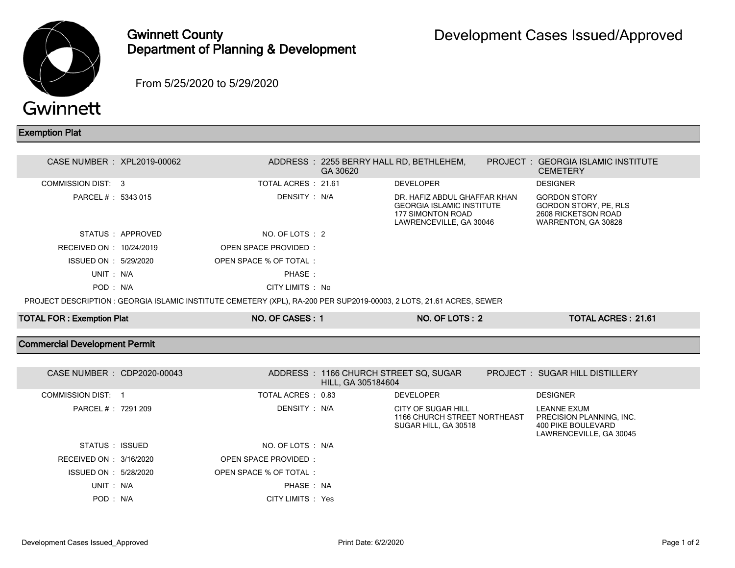

## Gwinnett County Department of Planning & Development

From 5/25/2020 to 5/29/2020

## Exemption Plat

| CASE NUMBER : XPL2019-00062                                                                                          |                   |                        | GA 30620 | ADDRESS: 2255 BERRY HALL RD, BETHLEHEM,                                                                          |  | PROJECT: GEORGIA ISLAMIC INSTITUTE<br><b>CEMETERY</b>                                      |  |
|----------------------------------------------------------------------------------------------------------------------|-------------------|------------------------|----------|------------------------------------------------------------------------------------------------------------------|--|--------------------------------------------------------------------------------------------|--|
| COMMISSION DIST: 3                                                                                                   |                   | TOTAL ACRES : 21.61    |          | <b>DEVELOPER</b>                                                                                                 |  | <b>DESIGNER</b>                                                                            |  |
| PARCEL # : 5343 015                                                                                                  |                   | DENSITY: N/A           |          | DR. HAFIZ ABDUL GHAFFAR KHAN<br><b>GEORGIA ISLAMIC INSTITUTE</b><br>177 SIMONTON ROAD<br>LAWRENCEVILLE, GA 30046 |  | <b>GORDON STORY</b><br>GORDON STORY, PE, RLS<br>2608 RICKETSON ROAD<br>WARRENTON, GA 30828 |  |
|                                                                                                                      | STATUS : APPROVED | NO. OF LOTS : 2        |          |                                                                                                                  |  |                                                                                            |  |
| RECEIVED ON : 10/24/2019                                                                                             |                   | OPEN SPACE PROVIDED:   |          |                                                                                                                  |  |                                                                                            |  |
| ISSUED ON : 5/29/2020                                                                                                |                   | OPEN SPACE % OF TOTAL: |          |                                                                                                                  |  |                                                                                            |  |
| UNIT: N/A                                                                                                            |                   | PHASE:                 |          |                                                                                                                  |  |                                                                                            |  |
| POD: N/A                                                                                                             |                   | CITY LIMITS : No       |          |                                                                                                                  |  |                                                                                            |  |
| PROJECT DESCRIPTION : GEORGIA ISLAMIC INSTITUTE CEMETERY (XPL), RA-200 PER SUP2019-00003, 2 LOTS, 21.61 ACRES, SEWER |                   |                        |          |                                                                                                                  |  |                                                                                            |  |

| <b>TOTAL FOR: Exemption Plat</b>     | NO. OF CASES: 1        |                    | NO. OF LOTS: 2                                                             | <b>TOTAL ACRES: 21.61</b>                                                                |  |
|--------------------------------------|------------------------|--------------------|----------------------------------------------------------------------------|------------------------------------------------------------------------------------------|--|
| <b>Commercial Development Permit</b> |                        |                    |                                                                            |                                                                                          |  |
| CASE NUMBER : CDP2020-00043          |                        | HILL, GA 305184604 | ADDRESS: 1166 CHURCH STREET SQ, SUGAR                                      | PROJECT: SUGAR HILL DISTILLERY                                                           |  |
| COMMISSION DIST: 1                   | TOTAL ACRES: 0.83      |                    | <b>DEVELOPER</b>                                                           | <b>DESIGNER</b>                                                                          |  |
| PARCEL # : 7291 209                  | DENSITY: N/A           |                    | CITY OF SUGAR HILL<br>1166 CHURCH STREET NORTHEAST<br>SUGAR HILL, GA 30518 | LEANNE EXUM<br>PRECISION PLANNING, INC.<br>400 PIKE BOULEVARD<br>LAWRENCEVILLE, GA 30045 |  |
| STATUS : ISSUED                      | NO. OF LOTS : N/A      |                    |                                                                            |                                                                                          |  |
| RECEIVED ON : 3/16/2020              | OPEN SPACE PROVIDED:   |                    |                                                                            |                                                                                          |  |
| ISSUED ON : 5/28/2020                | OPEN SPACE % OF TOTAL: |                    |                                                                            |                                                                                          |  |
| UNIT: N/A                            | PHASE: NA              |                    |                                                                            |                                                                                          |  |
| POD: N/A                             | CITY LIMITS : Yes      |                    |                                                                            |                                                                                          |  |
|                                      |                        |                    |                                                                            |                                                                                          |  |